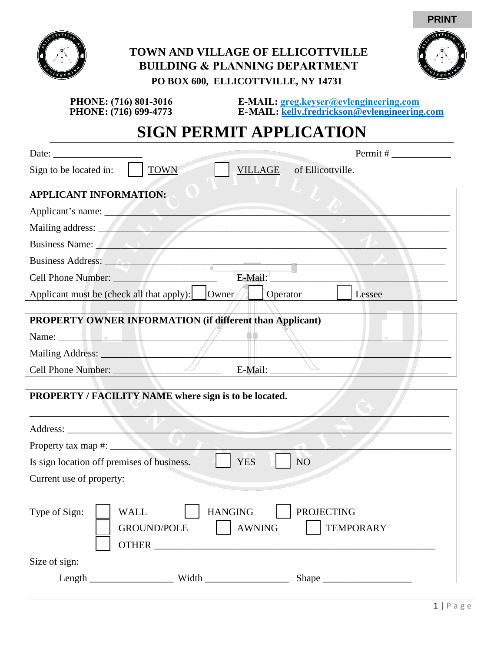

## **TOWN AND VILLAGE OF ELLICOTTVILLE BUILDING & PLANNING DEPARTMENT PO BOX 600, ELLICOTTVILLE, NY 14731**



**PRINT**

 **PHONE: (716) 699-4773 E-MAIL: [kelly.fredrickson@evlengineering.com](mailto:kelly.fredrickson@evlengineering.com) PHONE: (716) 801-3016 E-MAIL: greg.keyser@evlengineering.com**

## **SIGN PERMIT APPLICATION**

| Date: $\frac{1}{\sqrt{1-\frac{1}{2}} \cdot \frac{1}{2}}$                                                                                                                                                                       |
|--------------------------------------------------------------------------------------------------------------------------------------------------------------------------------------------------------------------------------|
| <b>TOWN</b><br>of Ellicottville.<br>Sign to be located in:<br><b>VILLAGE</b>                                                                                                                                                   |
| <b>APPLICANT INFORMATION:</b>                                                                                                                                                                                                  |
| Applicant's name:                                                                                                                                                                                                              |
|                                                                                                                                                                                                                                |
| Business Name: A and the contract of the contract of the contract of the contract of the contract of the contract of the contract of the contract of the contract of the contract of the contract of the contract of the contr |
| Business Address:                                                                                                                                                                                                              |
| $E-Mail:$<br>Cell Phone Number:                                                                                                                                                                                                |
| Applicant must be (check all that apply): Owner<br>Operator<br>Lessee                                                                                                                                                          |
| PROPERTY OWNER INFORMATION (if different than Applicant)                                                                                                                                                                       |
| Name: Name and the set of the set of the set of the set of the set of the set of the set of the set of the set of the set of the set of the set of the set of the set of the set of the set of the set of the set of the set o |
|                                                                                                                                                                                                                                |
| Cell Phone Number:                                                                                                                                                                                                             |
|                                                                                                                                                                                                                                |
| PROPERTY / FACILITY NAME where sign is to be located.                                                                                                                                                                          |
| Address:<br>$\sim$ $\sim$ $\sim$                                                                                                                                                                                               |
| Property tax map #:                                                                                                                                                                                                            |
| NO <sub>1</sub><br><b>YES</b><br>Is sign location off premises of business.                                                                                                                                                    |
| Current use of property:                                                                                                                                                                                                       |
|                                                                                                                                                                                                                                |
| <b>PROJECTING</b><br>Type of Sign:<br><b>WALL</b><br><b>HANGING</b><br><b>AWNING</b><br><b>TEMPORARY</b><br><b>GROUND/POLE</b>                                                                                                 |
| Size of sign:                                                                                                                                                                                                                  |
| Shape                                                                                                                                                                                                                          |